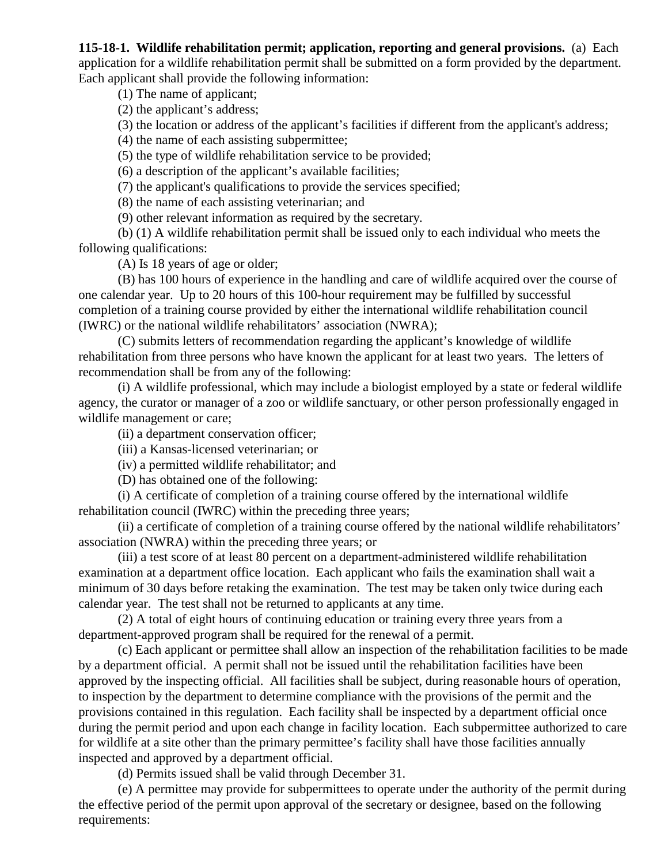## **115-18-1. Wildlife rehabilitation permit; application, reporting and general provisions.** (a) Each application for a wildlife rehabilitation permit shall be submitted on a form provided by the department. Each applicant shall provide the following information:

(1) The name of applicant;

(2) the applicant's address;

(3) the location or address of the applicant's facilities if different from the applicant's address;

(4) the name of each assisting subpermittee;

(5) the type of wildlife rehabilitation service to be provided;

(6) a description of the applicant's available facilities;

(7) the applicant's qualifications to provide the services specified;

(8) the name of each assisting veterinarian; and

(9) other relevant information as required by the secretary.

(b) (1) A wildlife rehabilitation permit shall be issued only to each individual who meets the following qualifications:

(A) Is 18 years of age or older;

(B) has 100 hours of experience in the handling and care of wildlife acquired over the course of one calendar year. Up to 20 hours of this 100-hour requirement may be fulfilled by successful completion of a training course provided by either the international wildlife rehabilitation council (IWRC) or the national wildlife rehabilitators' association (NWRA);

(C) submits letters of recommendation regarding the applicant's knowledge of wildlife rehabilitation from three persons who have known the applicant for at least two years. The letters of recommendation shall be from any of the following:

(i) A wildlife professional, which may include a biologist employed by a state or federal wildlife agency, the curator or manager of a zoo or wildlife sanctuary, or other person professionally engaged in wildlife management or care;

(ii) a department conservation officer;

(iii) a Kansas-licensed veterinarian; or

(iv) a permitted wildlife rehabilitator; and

(D) has obtained one of the following:

(i) A certificate of completion of a training course offered by the international wildlife rehabilitation council (IWRC) within the preceding three years;

(ii) a certificate of completion of a training course offered by the national wildlife rehabilitators' association (NWRA) within the preceding three years; or

(iii) a test score of at least 80 percent on a department-administered wildlife rehabilitation examination at a department office location. Each applicant who fails the examination shall wait a minimum of 30 days before retaking the examination. The test may be taken only twice during each calendar year. The test shall not be returned to applicants at any time.

(2) A total of eight hours of continuing education or training every three years from a department-approved program shall be required for the renewal of a permit.

(c) Each applicant or permittee shall allow an inspection of the rehabilitation facilities to be made by a department official. A permit shall not be issued until the rehabilitation facilities have been approved by the inspecting official. All facilities shall be subject, during reasonable hours of operation, to inspection by the department to determine compliance with the provisions of the permit and the provisions contained in this regulation. Each facility shall be inspected by a department official once during the permit period and upon each change in facility location. Each subpermittee authorized to care for wildlife at a site other than the primary permittee's facility shall have those facilities annually inspected and approved by a department official.

(d) Permits issued shall be valid through December 31.

(e) A permittee may provide for subpermittees to operate under the authority of the permit during the effective period of the permit upon approval of the secretary or designee, based on the following requirements: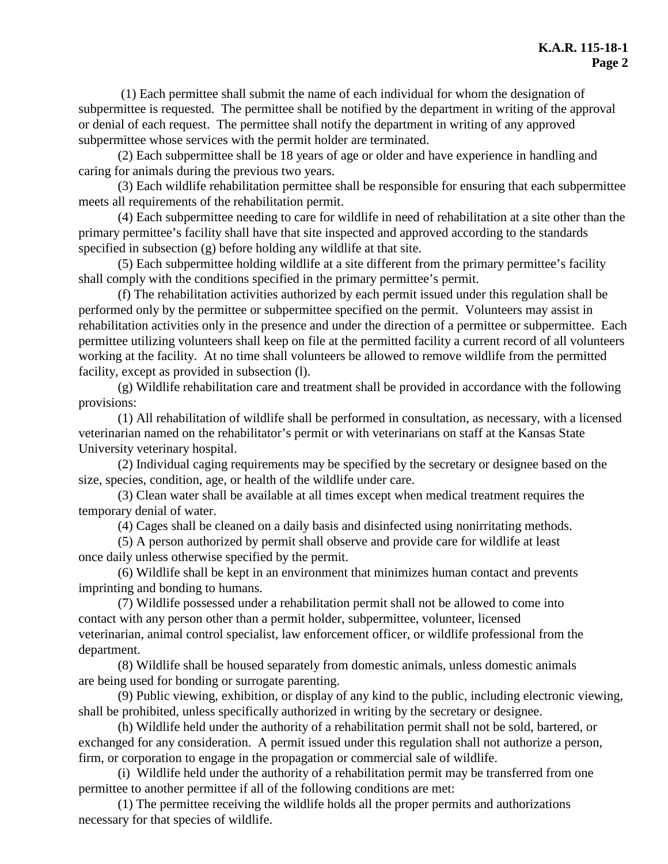(1) Each permittee shall submit the name of each individual for whom the designation of subpermittee is requested. The permittee shall be notified by the department in writing of the approval or denial of each request. The permittee shall notify the department in writing of any approved subpermittee whose services with the permit holder are terminated.

(2) Each subpermittee shall be 18 years of age or older and have experience in handling and caring for animals during the previous two years.

(3) Each wildlife rehabilitation permittee shall be responsible for ensuring that each subpermittee meets all requirements of the rehabilitation permit.

(4) Each subpermittee needing to care for wildlife in need of rehabilitation at a site other than the primary permittee's facility shall have that site inspected and approved according to the standards specified in subsection (g) before holding any wildlife at that site.

(5) Each subpermittee holding wildlife at a site different from the primary permittee's facility shall comply with the conditions specified in the primary permittee's permit.

(f) The rehabilitation activities authorized by each permit issued under this regulation shall be performed only by the permittee or subpermittee specified on the permit. Volunteers may assist in rehabilitation activities only in the presence and under the direction of a permittee or subpermittee. Each permittee utilizing volunteers shall keep on file at the permitted facility a current record of all volunteers working at the facility. At no time shall volunteers be allowed to remove wildlife from the permitted facility, except as provided in subsection (l).

(g) Wildlife rehabilitation care and treatment shall be provided in accordance with the following provisions:

(1) All rehabilitation of wildlife shall be performed in consultation, as necessary, with a licensed veterinarian named on the rehabilitator's permit or with veterinarians on staff at the Kansas State University veterinary hospital.

(2) Individual caging requirements may be specified by the secretary or designee based on the size, species, condition, age, or health of the wildlife under care.

(3) Clean water shall be available at all times except when medical treatment requires the temporary denial of water.

(4) Cages shall be cleaned on a daily basis and disinfected using nonirritating methods.

(5) A person authorized by permit shall observe and provide care for wildlife at least once daily unless otherwise specified by the permit.

(6) Wildlife shall be kept in an environment that minimizes human contact and prevents imprinting and bonding to humans.

(7) Wildlife possessed under a rehabilitation permit shall not be allowed to come into contact with any person other than a permit holder, subpermittee, volunteer, licensed veterinarian, animal control specialist, law enforcement officer, or wildlife professional from the department.

(8) Wildlife shall be housed separately from domestic animals, unless domestic animals are being used for bonding or surrogate parenting.

(9) Public viewing, exhibition, or display of any kind to the public, including electronic viewing, shall be prohibited, unless specifically authorized in writing by the secretary or designee.

(h) Wildlife held under the authority of a rehabilitation permit shall not be sold, bartered, or exchanged for any consideration. A permit issued under this regulation shall not authorize a person, firm, or corporation to engage in the propagation or commercial sale of wildlife.

(i) Wildlife held under the authority of a rehabilitation permit may be transferred from one permittee to another permittee if all of the following conditions are met:

(1) The permittee receiving the wildlife holds all the proper permits and authorizations necessary for that species of wildlife.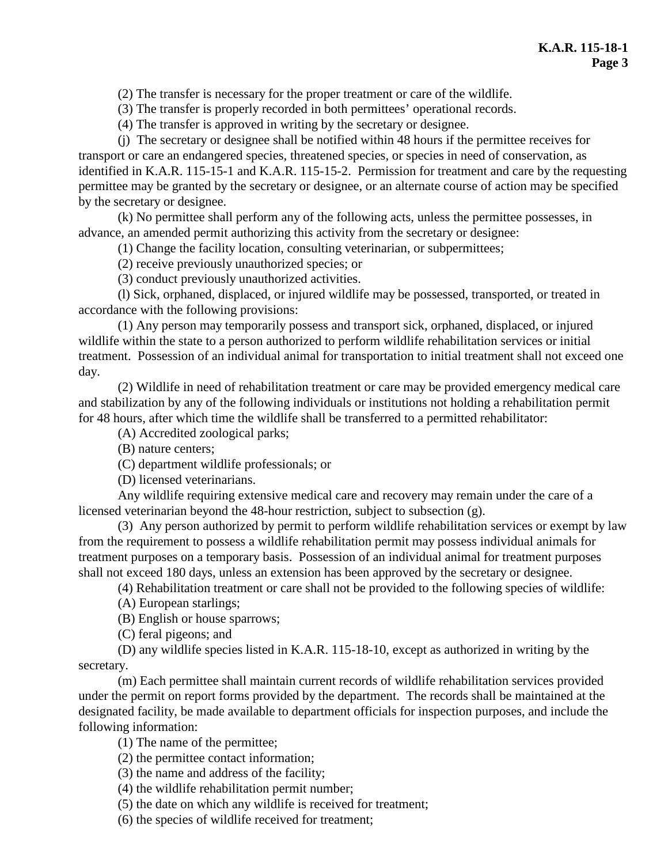(2) The transfer is necessary for the proper treatment or care of the wildlife.

(3) The transfer is properly recorded in both permittees' operational records.

(4) The transfer is approved in writing by the secretary or designee.

(j) The secretary or designee shall be notified within 48 hours if the permittee receives for transport or care an endangered species, threatened species, or species in need of conservation, as identified in K.A.R. 115-15-1 and K.A.R. 115-15-2. Permission for treatment and care by the requesting permittee may be granted by the secretary or designee, or an alternate course of action may be specified by the secretary or designee.

(k) No permittee shall perform any of the following acts, unless the permittee possesses, in advance, an amended permit authorizing this activity from the secretary or designee:

(1) Change the facility location, consulting veterinarian, or subpermittees;

(2) receive previously unauthorized species; or

(3) conduct previously unauthorized activities.

(l) Sick, orphaned, displaced, or injured wildlife may be possessed, transported, or treated in accordance with the following provisions:

(1) Any person may temporarily possess and transport sick, orphaned, displaced, or injured wildlife within the state to a person authorized to perform wildlife rehabilitation services or initial treatment. Possession of an individual animal for transportation to initial treatment shall not exceed one day.

(2) Wildlife in need of rehabilitation treatment or care may be provided emergency medical care and stabilization by any of the following individuals or institutions not holding a rehabilitation permit for 48 hours, after which time the wildlife shall be transferred to a permitted rehabilitator:

(A) Accredited zoological parks;

(B) nature centers;

(C) department wildlife professionals; or

(D) licensed veterinarians.

Any wildlife requiring extensive medical care and recovery may remain under the care of a licensed veterinarian beyond the 48-hour restriction, subject to subsection (g).

(3) Any person authorized by permit to perform wildlife rehabilitation services or exempt by law from the requirement to possess a wildlife rehabilitation permit may possess individual animals for treatment purposes on a temporary basis. Possession of an individual animal for treatment purposes shall not exceed 180 days, unless an extension has been approved by the secretary or designee.

(4) Rehabilitation treatment or care shall not be provided to the following species of wildlife:

(A) European starlings;

(B) English or house sparrows;

(C) feral pigeons; and

(D) any wildlife species listed in K.A.R. 115-18-10, except as authorized in writing by the secretary.

(m) Each permittee shall maintain current records of wildlife rehabilitation services provided under the permit on report forms provided by the department. The records shall be maintained at the designated facility, be made available to department officials for inspection purposes, and include the following information:

(1) The name of the permittee;

(2) the permittee contact information;

(3) the name and address of the facility;

(4) the wildlife rehabilitation permit number;

(5) the date on which any wildlife is received for treatment;

(6) the species of wildlife received for treatment;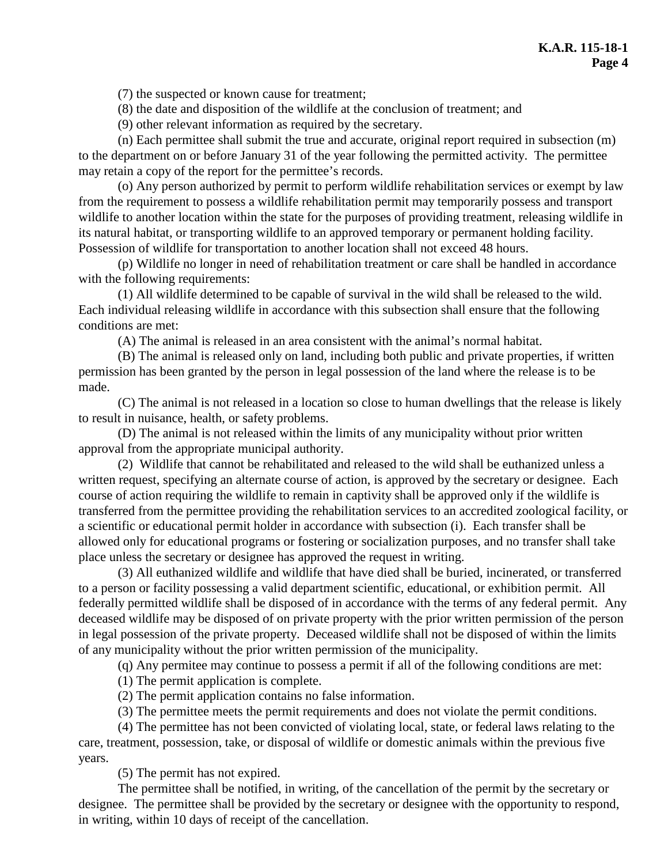(7) the suspected or known cause for treatment;

(8) the date and disposition of the wildlife at the conclusion of treatment; and

(9) other relevant information as required by the secretary.

(n) Each permittee shall submit the true and accurate, original report required in subsection (m) to the department on or before January 31 of the year following the permitted activity. The permittee may retain a copy of the report for the permittee's records.

(o) Any person authorized by permit to perform wildlife rehabilitation services or exempt by law from the requirement to possess a wildlife rehabilitation permit may temporarily possess and transport wildlife to another location within the state for the purposes of providing treatment, releasing wildlife in its natural habitat, or transporting wildlife to an approved temporary or permanent holding facility. Possession of wildlife for transportation to another location shall not exceed 48 hours.

(p) Wildlife no longer in need of rehabilitation treatment or care shall be handled in accordance with the following requirements:

(1) All wildlife determined to be capable of survival in the wild shall be released to the wild. Each individual releasing wildlife in accordance with this subsection shall ensure that the following conditions are met:

(A) The animal is released in an area consistent with the animal's normal habitat.

(B) The animal is released only on land, including both public and private properties, if written permission has been granted by the person in legal possession of the land where the release is to be made.

(C) The animal is not released in a location so close to human dwellings that the release is likely to result in nuisance, health, or safety problems.

(D) The animal is not released within the limits of any municipality without prior written approval from the appropriate municipal authority.

(2) Wildlife that cannot be rehabilitated and released to the wild shall be euthanized unless a written request, specifying an alternate course of action, is approved by the secretary or designee. Each course of action requiring the wildlife to remain in captivity shall be approved only if the wildlife is transferred from the permittee providing the rehabilitation services to an accredited zoological facility, or a scientific or educational permit holder in accordance with subsection (i). Each transfer shall be allowed only for educational programs or fostering or socialization purposes, and no transfer shall take place unless the secretary or designee has approved the request in writing.

(3) All euthanized wildlife and wildlife that have died shall be buried, incinerated, or transferred to a person or facility possessing a valid department scientific, educational, or exhibition permit. All federally permitted wildlife shall be disposed of in accordance with the terms of any federal permit. Any deceased wildlife may be disposed of on private property with the prior written permission of the person in legal possession of the private property. Deceased wildlife shall not be disposed of within the limits of any municipality without the prior written permission of the municipality.

(q) Any permitee may continue to possess a permit if all of the following conditions are met:

(1) The permit application is complete.

(2) The permit application contains no false information.

(3) The permittee meets the permit requirements and does not violate the permit conditions.

(4) The permittee has not been convicted of violating local, state, or federal laws relating to the care, treatment, possession, take, or disposal of wildlife or domestic animals within the previous five years.

(5) The permit has not expired.

The permittee shall be notified, in writing, of the cancellation of the permit by the secretary or designee. The permittee shall be provided by the secretary or designee with the opportunity to respond, in writing, within 10 days of receipt of the cancellation.